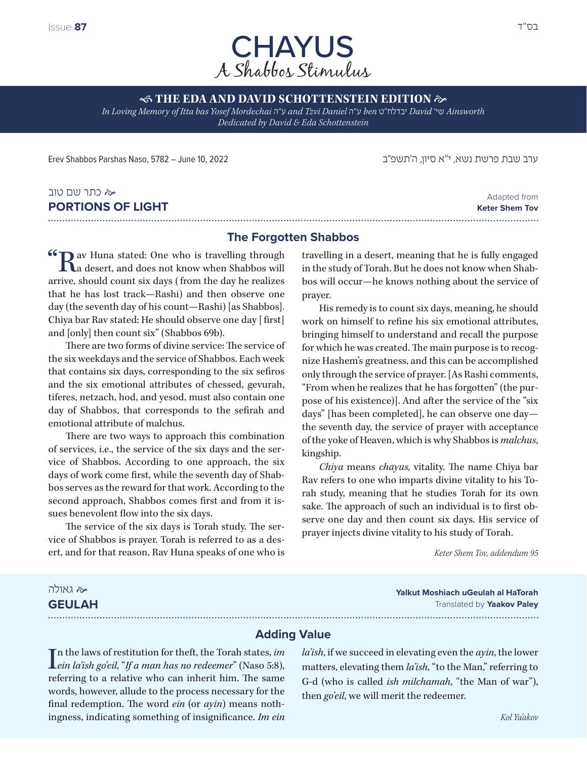

 **THE EDA AND DAVID SCHOTTENSTEIN EDITION** 

*In Loving Memory of Itta bas Yosef Mordechai* ה"ע *and Tzvi Daniel* ה"ע *ben* ט"יבדלח *David* 'שי *Ainsworth Dedicated by David & Eda Schottenstein*

ערב שבת פרשת נשא, י"א סיון, ה'תשפ״ב 2022 10, June – 5782 ,Naso Parshas Shabbos Erev

#### כתר שם טוב **PORTIONS OF LIGHT**

Adapted from **Keter Shem Tov** 

## **The Forgotten Shabbos**

 $\Omega$  av Huna stated: One who is travelling through  $\Omega$  a desert, and does not know when Shabbos will arrive, should count six days ( from the day he realizes that he has lost track—Rashi) and then observe one day (the seventh day of his count—Rashi) [as Shabbos]. Chiya bar Rav stated: He should observe one day [ first] and [only] then count six" (Shabbos 69b).

There are two forms of divine service: The service of the six weekdays and the service of Shabbos. Each week that contains six days, corresponding to the six sefiros and the six emotional attributes of chessed, gevurah, tiferes, netzach, hod, and yesod, must also contain one day of Shabbos, that corresponds to the sefirah and emotional attribute of malchus.

There are two ways to approach this combination of services, i.e., the service of the six days and the service of Shabbos. According to one approach, the six days of work come first, while the seventh day of Shabbos serves as the reward for that work. According to the second approach, Shabbos comes first and from it issues benevolent flow into the six days.

The service of the six days is Torah study. The service of Shabbos is prayer. Torah is referred to as a desert, and for that reason, Rav Huna speaks of one who is travelling in a desert, meaning that he is fully engaged in the study of Torah. But he does not know when Shabbos will occur—he knows nothing about the service of prayer.

His remedy is to count six days, meaning, he should work on himself to refine his six emotional attributes, bringing himself to understand and recall the purpose for which he was created. The main purpose is to recognize Hashem's greatness, and this can be accomplished only through the service of prayer. [As Rashi comments, "From when he realizes that he has forgotten" (the purpose of his existence)]. And after the service of the "six days" [has been completed], he can observe one day the seventh day, the service of prayer with acceptance of the yoke of Heaven, which is why Shabbos is *malchus*, kingship.

*Chiya* means *chayus,* vitality. The name Chiya bar Rav refers to one who imparts divine vitality to his Torah study, meaning that he studies Torah for its own sake. The approach of such an individual is to first observe one day and then count six days. His service of prayer injects divine vitality to his study of Torah.

*Keter Shem Tov, addendum 95*

#### גאולה **GEULAH**

**Yalkut Moshiach uGeulah al HaTorah** Translated by **Yaakov Paley**

## **Adding Value**

In the laws of restitution for theft, the Torah states, *im*<br> *ein la'ish go'eil*, "*If a man has no redeemer*" (Naso 5:8), n the laws of restitution for theft, the Torah states, *im*  referring to a relative who can inherit him. The same words, however, allude to the process necessary for the final redemption. The word *ein* (or *ayin*) means nothingness, indicating something of insignificance. *Im ein* 

*la'ish*, if we succeed in elevating even the *ayin*, the lower matters, elevating them *la'ish*, "to the Man," referring to G-d (who is called *ish milchamah*, "the Man of war"), then *go'eil*, we will merit the redeemer.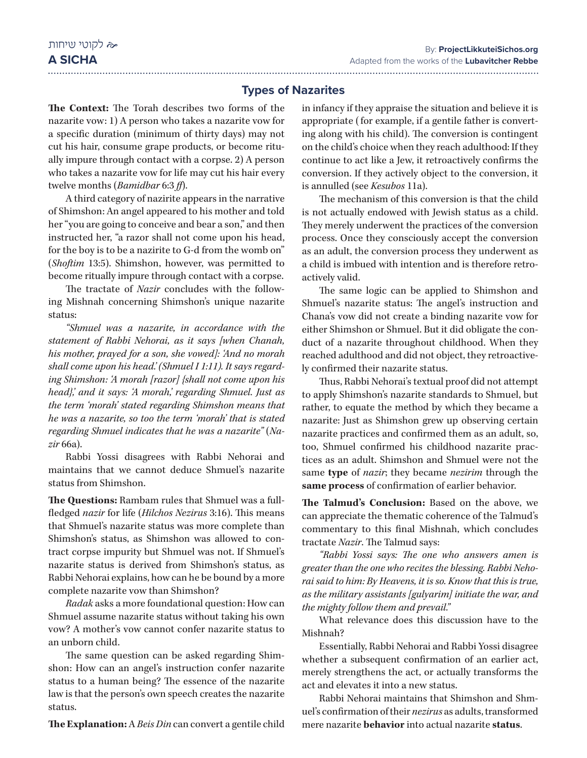By: **ProjectLikkuteiSichos.org** Adapted from the works of the **Lubavitcher Rebbe**

## **Types of Nazarites**

**The Context:** The Torah describes two forms of the nazarite vow: 1) A person who takes a nazarite vow for a specific duration (minimum of thirty days) may not cut his hair, consume grape products, or become ritually impure through contact with a corpse. 2) A person who takes a nazarite vow for life may cut his hair every twelve months (*Bamidbar* 6:3 *ff*).

A third category of nazirite appears in the narrative of Shimshon: An angel appeared to his mother and told her "you are going to conceive and bear a son," and then instructed her, "a razor shall not come upon his head, for the boy is to be a nazirite to G-d from the womb on" (*Shoftim* 13:5). Shimshon, however, was permitted to become ritually impure through contact with a corpse.

The tractate of *Nazir* concludes with the following Mishnah concerning Shimshon's unique nazarite status:

*"Shmuel was a nazarite, in accordance with the statement of Rabbi Nehorai, as it says [when Chanah, his mother, prayed for a son, she vowed]: 'And no morah shall come upon his head.' (Shmuel I 1:11). It says regarding Shimshon: 'A morah [razor] {shall not come upon his head},' and it says: 'A morah,' regarding Shmuel. Just as the term 'morah' stated regarding Shimshon means that he was a nazarite, so too the term 'morah' that is stated regarding Shmuel indicates that he was a nazarite"* (*Nazir* 66a).

Rabbi Yossi disagrees with Rabbi Nehorai and maintains that we cannot deduce Shmuel's nazarite status from Shimshon.

**The Questions:** Rambam rules that Shmuel was a fullfledged *nazir* for life (*Hilchos Nezirus* 3:16). This means that Shmuel's nazarite status was more complete than Shimshon's status, as Shimshon was allowed to contract corpse impurity but Shmuel was not. If Shmuel's nazarite status is derived from Shimshon's status, as Rabbi Nehorai explains, how can he be bound by a more complete nazarite vow than Shimshon?

*Radak* asks a more foundational question: How can Shmuel assume nazarite status without taking his own vow? A mother's vow cannot confer nazarite status to an unborn child.

The same question can be asked regarding Shimshon: How can an angel's instruction confer nazarite status to a human being? The essence of the nazarite law is that the person's own speech creates the nazarite status.

**The Explanation:** A *Beis Din* can convert a gentile child

in infancy if they appraise the situation and believe it is appropriate ( for example, if a gentile father is converting along with his child). The conversion is contingent on the child's choice when they reach adulthood: If they continue to act like a Jew, it retroactively confirms the conversion. If they actively object to the conversion, it is annulled (see *Kesubos* 11a).

The mechanism of this conversion is that the child is not actually endowed with Jewish status as a child. They merely underwent the practices of the conversion process. Once they consciously accept the conversion as an adult, the conversion process they underwent as a child is imbued with intention and is therefore retroactively valid.

The same logic can be applied to Shimshon and Shmuel's nazarite status: The angel's instruction and Chana's vow did not create a binding nazarite vow for either Shimshon or Shmuel. But it did obligate the conduct of a nazarite throughout childhood. When they reached adulthood and did not object, they retroactively confirmed their nazarite status.

Thus, Rabbi Nehorai's textual proof did not attempt to apply Shimshon's nazarite standards to Shmuel, but rather, to equate the method by which they became a nazarite: Just as Shimshon grew up observing certain nazarite practices and confirmed them as an adult, so, too, Shmuel confirmed his childhood nazarite practices as an adult. Shimshon and Shmuel were not the same **type** of *nazir*; they became *nezirim* through the **same process** of confirmation of earlier behavior.

**The Talmud's Conclusion:** Based on the above, we can appreciate the thematic coherence of the Talmud's commentary to this final Mishnah, which concludes tractate *Nazir*. The Talmud says:

*"Rabbi Yossi says: The one who answers amen is greater than the one who recites the blessing. Rabbi Nehorai said to him: By Heavens, it is so. Know that this is true, as the military assistants [gulyarim] initiate the war, and the mighty follow them and prevail."*

What relevance does this discussion have to the Mishnah?

Essentially, Rabbi Nehorai and Rabbi Yossi disagree whether a subsequent confirmation of an earlier act, merely strengthens the act, or actually transforms the act and elevates it into a new status.

Rabbi Nehorai maintains that Shimshon and Shmuel's confirmation of their *nezirus* as adults, transformed mere nazarite **behavior** into actual nazarite **status**.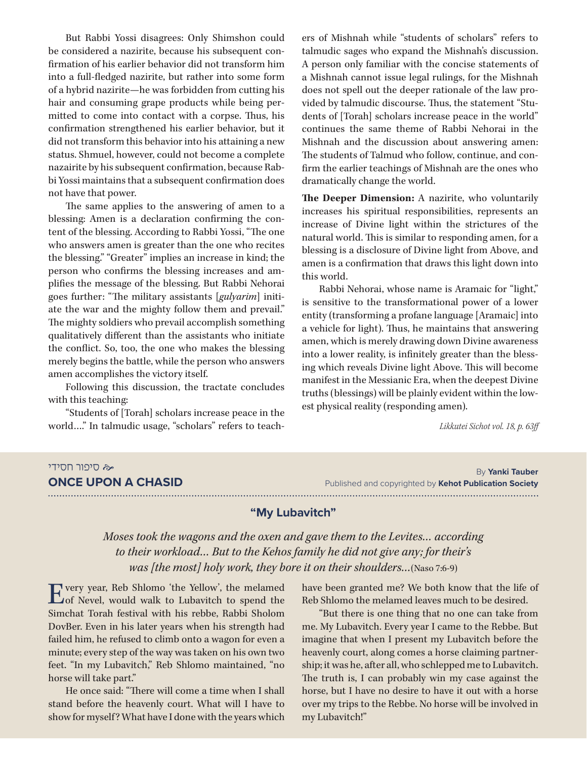But Rabbi Yossi disagrees: Only Shimshon could be considered a nazirite, because his subsequent confirmation of his earlier behavior did not transform him into a full-fledged nazirite, but rather into some form of a hybrid nazirite—he was forbidden from cutting his hair and consuming grape products while being permitted to come into contact with a corpse. Thus, his confirmation strengthened his earlier behavior, but it did not transform this behavior into his attaining a new status. Shmuel, however, could not become a complete nazairite by his subsequent confirmation, because Rabbi Yossi maintains that a subsequent confirmation does not have that power.

The same applies to the answering of amen to a blessing: Amen is a declaration confirming the content of the blessing. According to Rabbi Yossi, "The one who answers amen is greater than the one who recites the blessing." "Greater" implies an increase in kind; the person who confirms the blessing increases and amplifies the message of the blessing. But Rabbi Nehorai goes further: "The military assistants [*gulyarim*] initiate the war and the mighty follow them and prevail." The mighty soldiers who prevail accomplish something qualitatively different than the assistants who initiate the conflict. So, too, the one who makes the blessing merely begins the battle, while the person who answers amen accomplishes the victory itself.

Following this discussion, the tractate concludes with this teaching:

"Students of [Torah] scholars increase peace in the world…." In talmudic usage, "scholars" refers to teachers of Mishnah while "students of scholars" refers to talmudic sages who expand the Mishnah's discussion. A person only familiar with the concise statements of a Mishnah cannot issue legal rulings, for the Mishnah does not spell out the deeper rationale of the law provided by talmudic discourse. Thus, the statement "Students of [Torah] scholars increase peace in the world" continues the same theme of Rabbi Nehorai in the Mishnah and the discussion about answering amen: The students of Talmud who follow, continue, and confirm the earlier teachings of Mishnah are the ones who dramatically change the world.

**The Deeper Dimension:** A nazirite, who voluntarily increases his spiritual responsibilities, represents an increase of Divine light within the strictures of the natural world. This is similar to responding amen, for a blessing is a disclosure of Divine light from Above, and amen is a confirmation that draws this light down into this world.

Rabbi Nehorai, whose name is Aramaic for "light," is sensitive to the transformational power of a lower entity (transforming a profane language [Aramaic] into a vehicle for light). Thus, he maintains that answering amen, which is merely drawing down Divine awareness into a lower reality, is infinitely greater than the blessing which reveals Divine light Above. This will become manifest in the Messianic Era, when the deepest Divine truths (blessings) will be plainly evident within the lowest physical reality (responding amen).

*Likkutei Sichot vol. 18, p. 63ff*

#### סיפור חסידי By **Yanki Tauber ONCE UPON A CHASID** Published and copyrighted by **Kehot Publication Society**

### **"My Lubavitch"**

*Moses took the wagons and the oxen and gave them to the Levites… according to their workload… But to the Kehos family he did not give any; for their's was [the most] holy work, they bore it on their shoulders…*(Naso 7:6-9)

Every year, Reb Shlomo 'the Yellow', the melamed<br>
of Nevel, would walk to Lubavitch to spend the<br>
Single field in the Lubberth Published Simchat Torah festival with his rebbe, Rabbi Sholom DovBer. Even in his later years when his strength had failed him, he refused to climb onto a wagon for even a minute; every step of the way was taken on his own two feet. "In my Lubavitch," Reb Shlomo maintained, "no horse will take part."

He once said: "There will come a time when I shall stand before the heavenly court. What will I have to show for myself ? What have I done with the years which have been granted me? We both know that the life of Reb Shlomo the melamed leaves much to be desired.

"But there is one thing that no one can take from me. My Lubavitch. Every year I came to the Rebbe. But imagine that when I present my Lubavitch before the heavenly court, along comes a horse claiming partnership; it was he, after all, who schlepped me to Lubavitch. The truth is, I can probably win my case against the horse, but I have no desire to have it out with a horse over my trips to the Rebbe. No horse will be involved in my Lubavitch!"